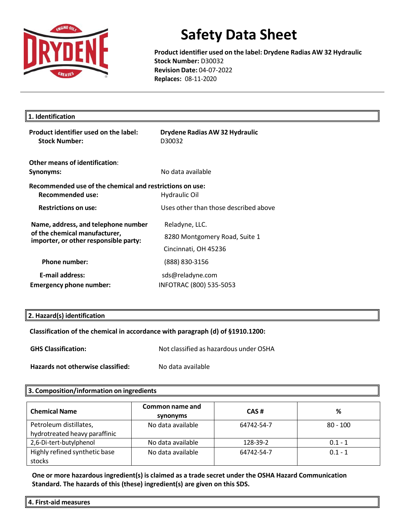

**Product identifier used on the label: Drydene Radias AW 32 Hydraulic Stock Number:** D30032 **Revision Date:** 04-07-2022 **Replaces:** 08-11-2020

| 1. Identification                                                                                             |                                                                         |
|---------------------------------------------------------------------------------------------------------------|-------------------------------------------------------------------------|
| Product identifier used on the label:<br><b>Stock Number:</b>                                                 | Drydene Radias AW 32 Hydraulic<br>D30032                                |
| Other means of identification:<br>Synonyms:                                                                   | No data available                                                       |
| Recommended use of the chemical and restrictions on use:<br><b>Recommended use:</b>                           | <b>Hydraulic Oil</b>                                                    |
| <b>Restrictions on use:</b>                                                                                   | Uses other than those described above                                   |
| Name, address, and telephone number<br>of the chemical manufacturer,<br>importer, or other responsible party: | Reladyne, LLC.<br>8280 Montgomery Road, Suite 1<br>Cincinnati, OH 45236 |
| <b>Phone number:</b>                                                                                          | (888) 830-3156                                                          |
| <b>E-mail address:</b><br><b>Emergency phone number:</b>                                                      | sds@reladyne.com<br>INFOTRAC (800) 535-5053                             |

### **2. Hazard(s) identification**

## **Classification of the chemical in accordance with paragraph (d) of §1910.1200:**

**GHS Classification:** Not classified as hazardous under OSHA

**Hazards not otherwise classified:** No data available

### **3. Composition/information on ingredients**

| <b>Chemical Name</b>                                    | Common name and<br>synonyms | CAS#       | %          |
|---------------------------------------------------------|-----------------------------|------------|------------|
| Petroleum distillates,<br>hydrotreated heavy paraffinic | No data available           | 64742-54-7 | $80 - 100$ |
| 2,6-Di-tert-butylphenol                                 | No data available           | 128-39-2   | $0.1 - 1$  |
| Highly refined synthetic base<br>stocks                 | No data available           | 64742-54-7 | $0.1 - 1$  |

**One or more hazardous ingredient(s) is claimed as a trade secret under the OSHA Hazard Communication Standard. The hazards of this (these) ingredient(s) are given on this SDS.**

**4. First-aid measures**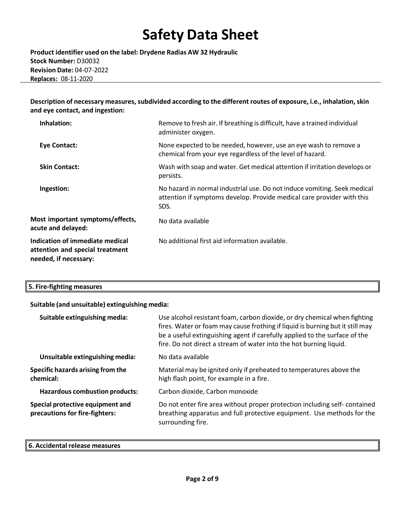**Product identifier used on the label: Drydene Radias AW 32 Hydraulic Stock Number:** D30032 **Revision Date:** 04-07-2022 **Replaces:** 08-11-2020

**Description of necessary measures,subdivided according to the different routes of exposure, i.e., inhalation,skin and eye contact, and ingestion:**

| Inhalation:                                                                                 | Remove to fresh air. If breathing is difficult, have a trained individual<br>administer oxygen.                                                            |
|---------------------------------------------------------------------------------------------|------------------------------------------------------------------------------------------------------------------------------------------------------------|
| <b>Eye Contact:</b>                                                                         | None expected to be needed, however, use an eye wash to remove a<br>chemical from your eye regardless of the level of hazard.                              |
| <b>Skin Contact:</b>                                                                        | Wash with soap and water. Get medical attention if irritation develops or<br>persists.                                                                     |
| Ingestion:                                                                                  | No hazard in normal industrial use. Do not induce vomiting. Seek medical<br>attention if symptoms develop. Provide medical care provider with this<br>SDS. |
| Most important symptoms/effects,<br>acute and delayed:                                      | No data available                                                                                                                                          |
| Indication of immediate medical<br>attention and special treatment<br>needed, if necessary: | No additional first aid information available.                                                                                                             |

| $\left[5.$ Fire-fighting measures |
|-----------------------------------|
|-----------------------------------|

### **Suitable (and unsuitable) extinguishing media:**

| Suitable extinguishing media:                                      | Use alcohol resistant foam, carbon dioxide, or dry chemical when fighting<br>fires. Water or foam may cause frothing if liquid is burning but it still may<br>be a useful extinguishing agent if carefully applied to the surface of the<br>fire. Do not direct a stream of water into the hot burning liquid. |
|--------------------------------------------------------------------|----------------------------------------------------------------------------------------------------------------------------------------------------------------------------------------------------------------------------------------------------------------------------------------------------------------|
| Unsuitable extinguishing media:                                    | No data available                                                                                                                                                                                                                                                                                              |
| Specific hazards arising from the<br>chemical:                     | Material may be ignited only if preheated to temperatures above the<br>high flash point, for example in a fire.                                                                                                                                                                                                |
| <b>Hazardous combustion products:</b>                              | Carbon dioxide, Carbon monoxide                                                                                                                                                                                                                                                                                |
| Special protective equipment and<br>precautions for fire-fighters: | Do not enter fire area without proper protection including self-contained<br>breathing apparatus and full protective equipment. Use methods for the<br>surrounding fire.                                                                                                                                       |

## **6. Accidental release measures**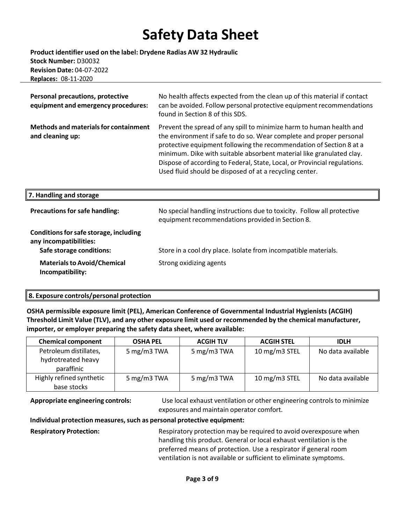**Product identifier used on the label: Drydene Radias AW 32 Hydraulic Stock Number:** D30032 **Revision Date:** 04-07-2022 **Replaces:** 08-11-2020

| Personal precautions, protective<br>equipment and emergency procedures:                      | No health affects expected from the clean up of this material if contact<br>can be avoided. Follow personal protective equipment recommendations<br>found in Section 8 of this SDS.                                                                                                                                                                                                                                                |
|----------------------------------------------------------------------------------------------|------------------------------------------------------------------------------------------------------------------------------------------------------------------------------------------------------------------------------------------------------------------------------------------------------------------------------------------------------------------------------------------------------------------------------------|
| <b>Methods and materials for containment</b><br>and cleaning up:                             | Prevent the spread of any spill to minimize harm to human health and<br>the environment if safe to do so. Wear complete and proper personal<br>protective equipment following the recommendation of Section 8 at a<br>minimum. Dike with suitable absorbent material like granulated clay.<br>Dispose of according to Federal, State, Local, or Provincial regulations.<br>Used fluid should be disposed of at a recycling center. |
| 7. Handling and storage                                                                      |                                                                                                                                                                                                                                                                                                                                                                                                                                    |
| <b>Precautions for safe handling:</b>                                                        | No special handling instructions due to toxicity. Follow all protective                                                                                                                                                                                                                                                                                                                                                            |
|                                                                                              | equipment recommendations provided in Section 8.                                                                                                                                                                                                                                                                                                                                                                                   |
| Conditions for safe storage, including<br>any incompatibilities:<br>Safe storage conditions: | Store in a cool dry place. Isolate from incompatible materials.                                                                                                                                                                                                                                                                                                                                                                    |

## **8. Exposure controls/personal protection**

**OSHA permissible exposure limit (PEL), American Conference of Governmental Industrial Hygienists (ACGIH) Threshold Limit Value (TLV), and any other exposure limit used or recommended by the chemical manufacturer, importer, or employer preparing the safety data sheet, where available:**

| <b>Chemical component</b>                                  | <b>OSHA PEL</b> | <b>ACGIH TLV</b> | <b>ACGIH STEL</b> | <b>IDLH</b>       |
|------------------------------------------------------------|-----------------|------------------|-------------------|-------------------|
| Petroleum distillates,<br>hydrotreated heavy<br>paraffinic | 5 mg/m3 TWA     | 5 mg/m3 TWA      | 10 mg/m3 STEL     | No data available |
| Highly refined synthetic<br>base stocks                    | 5 mg/m3 TWA     | 5 mg/m3 TWA      | 10 mg/m3 STEL     | No data available |

**Appropriate engineering controls:** Use local exhaust ventilation or other engineering controls to minimize exposures and maintain operator comfort.

### **Individual protection measures,such as personal protective equipment:**

**Respiratory Protection:** Respiratory protection may be required to avoid overexposure when handling this product. General or local exhaust ventilation is the preferred means of protection. Use a respirator if general room ventilation is not available or sufficient to eliminate symptoms.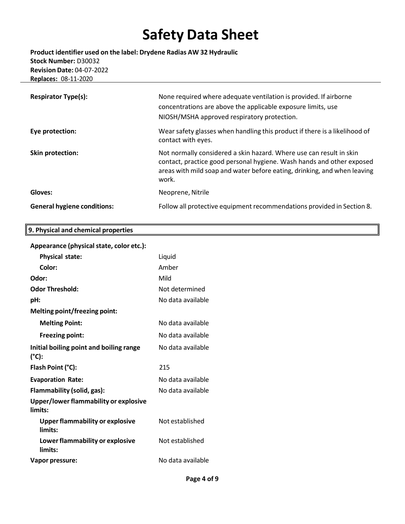**Product identifier used on the label: Drydene Radias AW 32 Hydraulic Stock Number:** D30032 **Revision Date:** 04-07-2022 **Replaces:** 08-11-2020

| <b>Respirator Type(s):</b>         | None required where adequate ventilation is provided. If airborne<br>concentrations are above the applicable exposure limits, use<br>NIOSH/MSHA approved respiratory protection.                                                  |
|------------------------------------|-----------------------------------------------------------------------------------------------------------------------------------------------------------------------------------------------------------------------------------|
| Eye protection:                    | Wear safety glasses when handling this product if there is a likelihood of<br>contact with eyes.                                                                                                                                  |
| Skin protection:                   | Not normally considered a skin hazard. Where use can result in skin<br>contact, practice good personal hygiene. Wash hands and other exposed<br>areas with mild soap and water before eating, drinking, and when leaving<br>work. |
| Gloves:                            | Neoprene, Nitrile                                                                                                                                                                                                                 |
| <b>General hygiene conditions:</b> | Follow all protective equipment recommendations provided in Section 8.                                                                                                                                                            |

## **Appearance (physicalstate, color etc.):**

**9. Physical and chemical properties**

| <b>Physical state:</b>                            | Liquid            |
|---------------------------------------------------|-------------------|
| Color:                                            | Amber             |
| Odor:                                             | Mild              |
| <b>Odor Threshold:</b>                            | Not determined    |
| pH:                                               | No data available |
| Melting point/freezing point:                     |                   |
| <b>Melting Point:</b>                             | No data available |
| <b>Freezing point:</b>                            | No data available |
| Initial boiling point and boiling range<br>(°C):  | No data available |
|                                                   |                   |
| Flash Point (°C):                                 | 215               |
| <b>Evaporation Rate:</b>                          | No data available |
| Flammability (solid, gas):                        | No data available |
| Upper/lower flammability or explosive<br>limits:  |                   |
| <b>Upper flammability or explosive</b><br>limits: | Not established   |
| Lower flammability or explosive<br>limits:        | Not established   |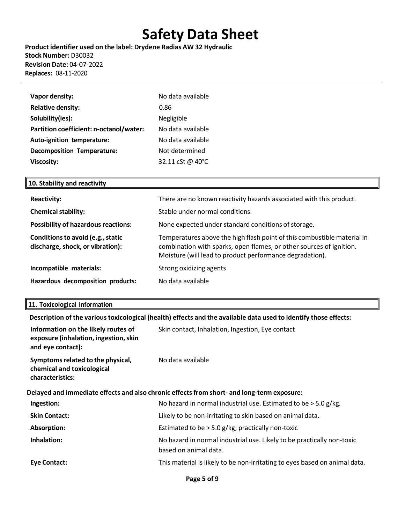**Product identifier used on the label: Drydene Radias AW 32 Hydraulic Stock Number:** D30032 **Revision Date:** 04-07-2022 **Replaces:** 08-11-2020

| <b>Vapor density:</b>                   | No data available           |
|-----------------------------------------|-----------------------------|
| <b>Relative density:</b>                | 0.86                        |
| Solubility(ies):                        | Negligible                  |
| Partition coefficient: n-octanol/water: | No data available           |
| Auto-ignition temperature:              | No data available           |
| <b>Decomposition Temperature:</b>       | Not determined              |
| <b>Viscosity:</b>                       | 32.11 cSt @ 40 $^{\circ}$ C |

## **10. Stability and reactivity**

| <b>Reactivity:</b>                                                    | There are no known reactivity hazards associated with this product.                                                                                                                                        |
|-----------------------------------------------------------------------|------------------------------------------------------------------------------------------------------------------------------------------------------------------------------------------------------------|
| <b>Chemical stability:</b>                                            | Stable under normal conditions.                                                                                                                                                                            |
| <b>Possibility of hazardous reactions:</b>                            | None expected under standard conditions of storage.                                                                                                                                                        |
| Conditions to avoid (e.g., static<br>discharge, shock, or vibration): | Temperatures above the high flash point of this combustible material in<br>combination with sparks, open flames, or other sources of ignition.<br>Moisture (will lead to product performance degradation). |
| Incompatible materials:                                               | Strong oxidizing agents                                                                                                                                                                                    |
| Hazardous decomposition products:                                     | No data available                                                                                                                                                                                          |

## **11. Toxicological information**

**Description of the varioustoxicological (health) effects and the available data used to identify those effects:**

| Information on the likely routes of<br>exposure (inhalation, ingestion, skin<br>and eye contact): | Skin contact, Inhalation, Ingestion, Eye contact                                                |  |
|---------------------------------------------------------------------------------------------------|-------------------------------------------------------------------------------------------------|--|
| Symptoms related to the physical,<br>chemical and toxicological<br>characteristics:               | No data available                                                                               |  |
| Delayed and immediate effects and also chronic effects from short- and long-term exposure:        |                                                                                                 |  |
| Ingestion:                                                                                        | No hazard in normal industrial use. Estimated to be $>$ 5.0 g/kg.                               |  |
| <b>Skin Contact:</b>                                                                              | Likely to be non-irritating to skin based on animal data.                                       |  |
| Absorption:                                                                                       | Estimated to be $>$ 5.0 g/kg; practically non-toxic                                             |  |
| Inhalation:                                                                                       | No hazard in normal industrial use. Likely to be practically non-toxic<br>based on animal data. |  |
| Eye Contact:                                                                                      | This material is likely to be non-irritating to eyes based on animal data.                      |  |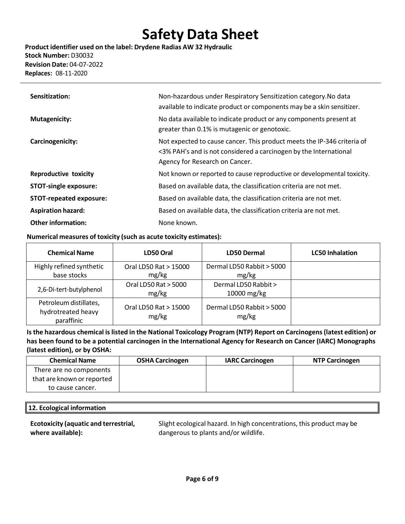**Product identifier used on the label: Drydene Radias AW 32 Hydraulic Stock Number:** D30032 **Revision Date:** 04-07-2022 **Replaces:** 08-11-2020

| Sensitization:                 | Non-hazardous under Respiratory Sensitization category. No data<br>available to indicate product or components may be a skin sensitizer.                                       |
|--------------------------------|--------------------------------------------------------------------------------------------------------------------------------------------------------------------------------|
| <b>Mutagenicity:</b>           | No data available to indicate product or any components present at<br>greater than 0.1% is mutagenic or genotoxic.                                                             |
| Carcinogenicity:               | Not expected to cause cancer. This product meets the IP-346 criteria of<br><3% PAH's and is not considered a carcinogen by the International<br>Agency for Research on Cancer. |
| <b>Reproductive toxicity</b>   | Not known or reported to cause reproductive or developmental toxicity.                                                                                                         |
| <b>STOT-single exposure:</b>   | Based on available data, the classification criteria are not met.                                                                                                              |
| <b>STOT-repeated exposure:</b> | Based on available data, the classification criteria are not met.                                                                                                              |
| <b>Aspiration hazard:</b>      | Based on available data, the classification criteria are not met.                                                                                                              |
| <b>Other information:</b>      | None known.                                                                                                                                                                    |

## **Numerical measures of toxicity (such as acute toxicity estimates):**

| <b>Chemical Name</b>                                       | LD50 Oral                      | <b>LD50 Dermal</b>                 | <b>LC50 Inhalation</b> |
|------------------------------------------------------------|--------------------------------|------------------------------------|------------------------|
| Highly refined synthetic                                   | Oral LD50 Rat > 15000          | Dermal LD50 Rabbit > 5000          |                        |
| base stocks                                                | mg/kg                          | mg/kg                              |                        |
| 2,6-Di-tert-butylphenol                                    | Oral LD50 Rat > 5000           | Dermal LD50 Rabbit >               |                        |
|                                                            | mg/kg                          | 10000 mg/kg                        |                        |
| Petroleum distillates,<br>hydrotreated heavy<br>paraffinic | Oral LD50 Rat > 15000<br>mg/kg | Dermal LD50 Rabbit > 5000<br>mg/kg |                        |

**Isthe hazardous chemical islisted in the National Toxicology Program (NTP) Report on Carcinogens(latest edition) or has been found to be a potential carcinogen in the International Agency for Research on Cancer (IARC) Monographs (latest edition), or by OSHA:**

| <b>Chemical Name</b>       | <b>OSHA Carcinogen</b> | <b>IARC Carcinogen</b> | <b>NTP Carcinogen</b> |
|----------------------------|------------------------|------------------------|-----------------------|
| There are no components    |                        |                        |                       |
| that are known or reported |                        |                        |                       |
| to cause cancer.           |                        |                        |                       |

## **12. Ecological information**

**Ecotoxicity (aquatic and terrestrial, where available):**

Slight ecological hazard. In high concentrations, this product may be dangerous to plants and/or wildlife.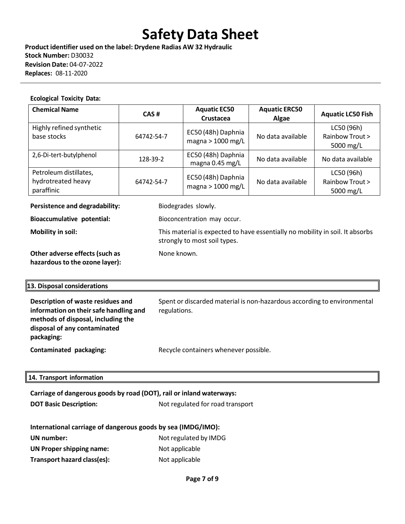**Product identifier used on the label: Drydene Radias AW 32 Hydraulic Stock Number:** D30032 **Revision Date:** 04-07-2022 **Replaces:** 08-11-2020

#### **Ecological Toxicity Data:**

| <b>Chemical Name</b>                                       | CAS#       | <b>Aquatic EC50</b><br><b>Crustacea</b>   | <b>Aquatic ERC50</b><br>Algae | <b>Aquatic LC50 Fish</b>                   |
|------------------------------------------------------------|------------|-------------------------------------------|-------------------------------|--------------------------------------------|
| Highly refined synthetic<br>base stocks                    | 64742-54-7 | EC50 (48h) Daphnia<br>magna $> 1000$ mg/L | No data available             | LC50 (96h)<br>Rainbow Trout ><br>5000 mg/L |
| 2,6-Di-tert-butylphenol                                    | 128-39-2   | EC50 (48h) Daphnia<br>magna 0.45 mg/L     | No data available             | No data available                          |
| Petroleum distillates,<br>hydrotreated heavy<br>paraffinic | 64742-54-7 | EC50 (48h) Daphnia<br>magna $> 1000$ mg/L | No data available             | LC50 (96h)<br>Rainbow Trout ><br>5000 mg/L |

**Persistence and degradability:** Biodegrades slowly.

None known.

strongly to most soil types.

**Bioaccumulative potential:** Bioconcentration may occur.

**Mobility in soil:** This material is expected to have essentially no mobility in soil. It absorbs

**Other adverse effects(such as hazardousto the ozone layer):**

### **13. Disposal considerations**

| Description of waste residues and<br>information on their safe handling and<br>methods of disposal, including the<br>disposal of any contaminated<br>packaging: | Spent or discarded material is non-hazardous according to environmental<br>regulations. |
|-----------------------------------------------------------------------------------------------------------------------------------------------------------------|-----------------------------------------------------------------------------------------|
| Contaminated packaging:                                                                                                                                         | Recycle containers whenever possible.                                                   |

### **14. Transport information**

| Carriage of dangerous goods by road (DOT), rail or inland waterways:<br><b>DOT Basic Description:</b><br>Not regulated for road transport |                       |  |  |  |  |
|-------------------------------------------------------------------------------------------------------------------------------------------|-----------------------|--|--|--|--|
|                                                                                                                                           |                       |  |  |  |  |
| International carriage of dangerous goods by sea (IMDG/IMO):                                                                              |                       |  |  |  |  |
| UN number:                                                                                                                                | Not regulated by IMDG |  |  |  |  |
| <b>UN Proper shipping name:</b><br>Not applicable                                                                                         |                       |  |  |  |  |
| Transport hazard class(es):                                                                                                               | Not applicable        |  |  |  |  |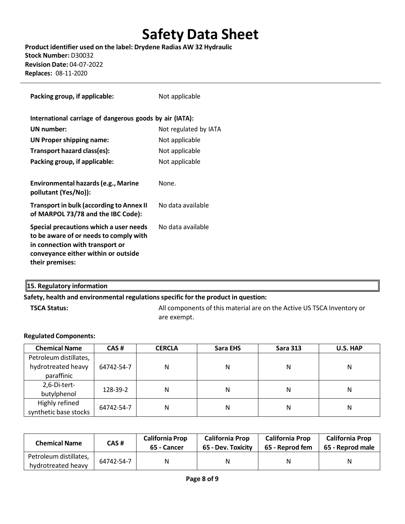**Product identifier used on the label: Drydene Radias AW 32 Hydraulic Stock Number:** D30032 **Revision Date:** 04-07-2022 **Replaces:** 08-11-2020

| Packing group, if applicable:                                                                                                                                                 | Not applicable        |
|-------------------------------------------------------------------------------------------------------------------------------------------------------------------------------|-----------------------|
| International carriage of dangerous goods by air (IATA):                                                                                                                      |                       |
| UN number:                                                                                                                                                                    | Not regulated by IATA |
| <b>UN Proper shipping name:</b>                                                                                                                                               | Not applicable        |
| Transport hazard class(es):                                                                                                                                                   | Not applicable        |
| Packing group, if applicable:                                                                                                                                                 | Not applicable        |
|                                                                                                                                                                               |                       |
| Environmental hazards (e.g., Marine<br>pollutant (Yes/No)):                                                                                                                   | None.                 |
| <b>Transport in bulk (according to Annex II</b><br>of MARPOL 73/78 and the IBC Code):                                                                                         | No data available     |
| Special precautions which a user needs<br>to be aware of or needs to comply with<br>in connection with transport or<br>conveyance either within or outside<br>their premises: | No data available     |

## **15. Regulatory information**

### **Safety, health and environmental regulationsspecific for the product in question:**

**TSCA Status:** All components of this material are on the Active US TSCA Inventory or are exempt.

### **Regulated Components:**

| <b>Chemical Name</b>   | CAS#       | <b>CERCLA</b> | Sara EHS | <b>Sara 313</b> | <b>U.S. HAP</b> |
|------------------------|------------|---------------|----------|-----------------|-----------------|
| Petroleum distillates, |            |               |          |                 |                 |
| hydrotreated heavy     | 64742-54-7 | N             | Ν        | Ν               | Ν               |
| paraffinic             |            |               |          |                 |                 |
| 2,6-Di-tert-           |            |               |          |                 |                 |
| butylphenol            | 128-39-2   | N             | Ν        | Ν               | Ν               |
| Highly refined         |            |               |          |                 |                 |
| synthetic base stocks  | 64742-54-7 | N             | Ν        | Ν               | Ν               |

| <b>Chemical Name</b>                         | CAS #      | <b>California Prop</b><br>65 - Cancer | <b>California Prop</b><br>65 - Dev. Toxicity | <b>California Prop</b><br>65 - Reprod fem | <b>California Prop</b><br>65 - Reprod male |
|----------------------------------------------|------------|---------------------------------------|----------------------------------------------|-------------------------------------------|--------------------------------------------|
| Petroleum distillates,<br>hydrotreated heavy | 64742-54-7 | N                                     | Ν                                            | N                                         | Ν                                          |